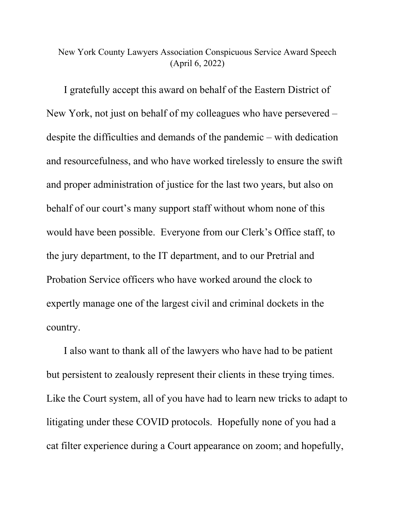## New York County Lawyers Association Conspicuous Service Award Speech (April 6, 2022)

I gratefully accept this award on behalf of the Eastern District of New York, not just on behalf of my colleagues who have persevered – despite the difficulties and demands of the pandemic – with dedication and resourcefulness, and who have worked tirelessly to ensure the swift and proper administration of justice for the last two years, but also on behalf of our court's many support staff without whom none of this would have been possible. Everyone from our Clerk's Office staff, to the jury department, to the IT department, and to our Pretrial and Probation Service officers who have worked around the clock to expertly manage one of the largest civil and criminal dockets in the country.

I also want to thank all of the lawyers who have had to be patient but persistent to zealously represent their clients in these trying times. Like the Court system, all of you have had to learn new tricks to adapt to litigating under these COVID protocols. Hopefully none of you had a cat filter experience during a Court appearance on zoom; and hopefully,